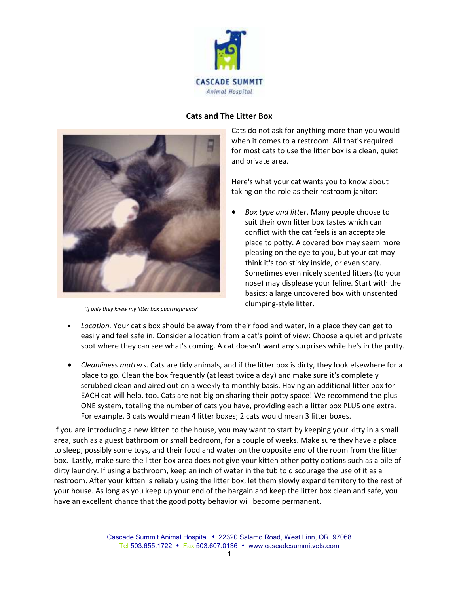

## **Cats and The Litter Box**



*"If only they knew my litter box puurrreference"*

Cats do not ask for anything more than you would when it comes to a restroom. All that's required for most cats to use the litter box is a clean, quiet and private area.

Here's what your cat wants you to know about taking on the role as their restroom janitor:

- *Box type and litter*. Many people choose to suit their own litter box tastes which can conflict with the cat feels is an acceptable place to potty. A covered box may seem more pleasing on the eye to you, but your cat may think it's too stinky inside, or even scary. Sometimes even nicely scented litters (to your nose) may displease your feline. Start with the basics: a large uncovered box with unscented clumping-style litter.
- *Location.* Your cat's box should be away from their food and water, in a place they can get to easily and feel safe in. Consider a location from a cat's point of view: Choose a quiet and private spot where they can see what's coming. A cat doesn't want any surprises while he's in the potty.
- *Cleanliness matters*. Cats are tidy animals, and if the litter box is dirty, they look elsewhere for a place to go. Clean the box frequently (at least twice a day) and make sure it's completely scrubbed clean and aired out on a weekly to monthly basis. Having an additional litter box for EACH cat will help, too. Cats are not big on sharing their potty space! We recommend the plus ONE system, totaling the number of cats you have, providing each a litter box PLUS one extra. For example, 3 cats would mean 4 litter boxes; 2 cats would mean 3 litter boxes.

If you are introducing a new kitten to the house, you may want to start by keeping your kitty in a small area, such as a guest bathroom or small bedroom, for a couple of weeks. Make sure they have a place to sleep, possibly some toys, and their food and water on the opposite end of the room from the litter box. Lastly, make sure the litter box area does not give your kitten other potty options such as a pile of dirty laundry. If using a bathroom, keep an inch of water in the tub to discourage the use of it as a restroom. After your kitten is reliably using the litter box, let them slowly expand territory to the rest of your house. As long as you keep up your end of the bargain and keep the litter box clean and safe, you have an excellent chance that the good potty behavior will become permanent.